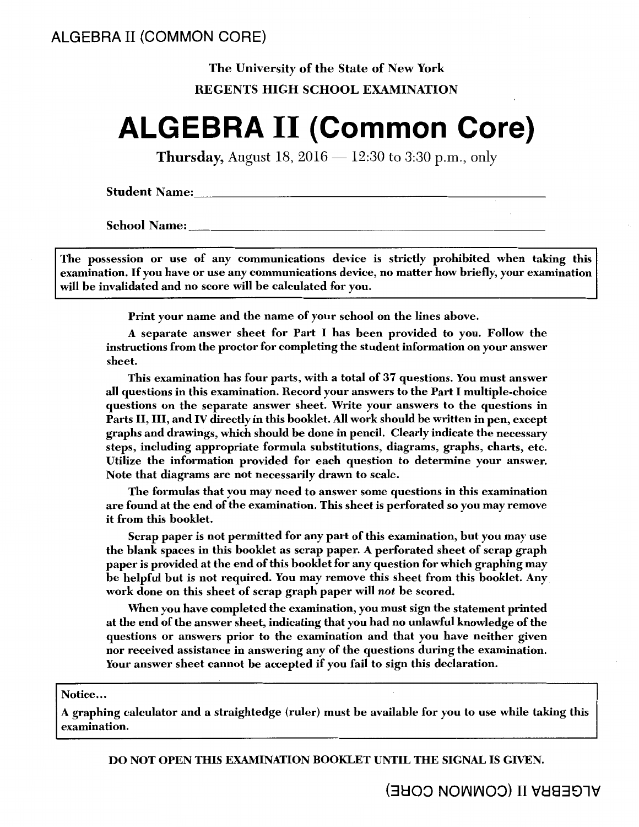# The University of the State of New York REGENTS HIGH SCHOOL EXAMINATION

# **ALGEBRA II (Common Core)**

**Thursday,** August 18,  $2016 - 12:30$  to 3:30 p.m., only

**Student Name:** 

**School Name:** 

The possession or use of any communications device is strictly prohibited when taking this examination. If you have or use any communications device, no matter how briefly, your examination will be invalidated and no score will be calculated for you.

Print your name and the name of your school on the lines above.

A separate answer sheet for Part I has been provided to you. Follow the instructions from the proctor for completing the student information on your answer sheet.

This examination has four parts, with a total of 37 questions. You must answer all questions in this examination. Record your answers to the Part I multiple-choice questions on the separate answer sheet. Write your answers to the questions in Parts II, III, and IV directly in this booklet. All work should be written in pen, except graphs and drawings, which should be done in pencil. Clearly indicate the necessary steps, including appropriate formula substitutions, diagrams, graphs, charts, etc. Utilize the information provided for each question to determine your answer. Note that diagrams are not necessarily drawn to scale.

The formulas that you may need to answer some questions in this examination are found at the end of the examination. This sheet is perforated so you may remove it from this booklet.

Scrap paper is not permitted for any part of this examination, but you may use the blank spaces in this booklet as scrap paper. A perforated sheet of scrap graph paper is provided at the end of this booklet for any question for which graphing may be helpful but is not required. You may remove this sheet from this booklet. Any work done on this sheet of scrap graph paper will *not* be scored.

When you have completed the examination, you must sign the statement printed at the end of the answer sheet, indicating that you had no unlawful knowledge of the questions or answers prior to the examination and that you have neither given nor received assistance in answering any of the questions during the examination. Your answer sheet cannot be accepted if you fail to sign this declaration.

#### Notice...

A graphing calculator and a straightedge (ruler) must be available for you to use while taking this examination.

DO NOT OPEN THIS EXAMINATION BOOKLET UNTIL THE SIGNAL IS GIVEN.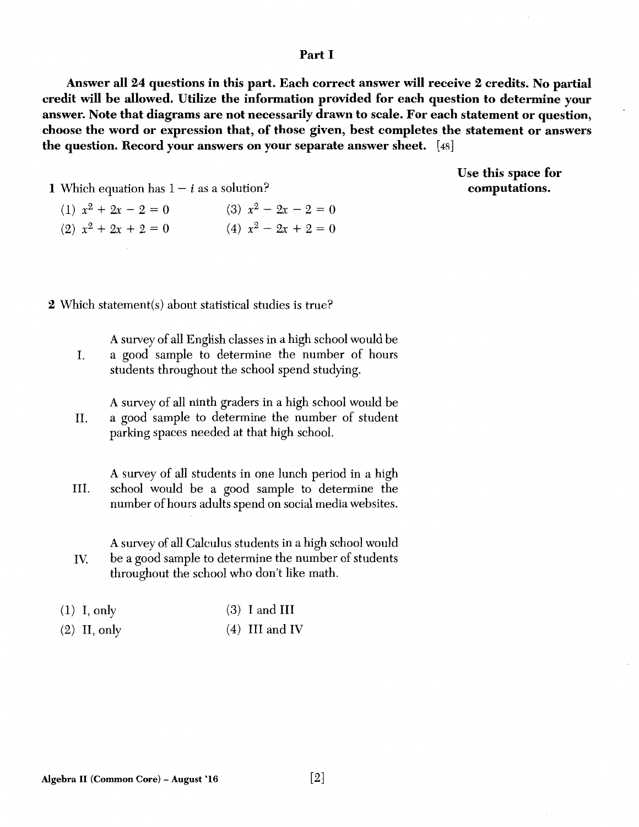### Part I

Answer all 24 questions in this part. Each correct answer will receive 2 credits. No partial credit will be allowed. Utilize the information provided for each question to determine your answer. Note that diagrams are not necessarily drawn to scale. For each statement or question, choose the word or expression that, of those given, best completes the statement or answers the question. Record your answers on your separate answer sheet. [ 48]

> Use this space for computations.

- **1** Which equation has  $1 i$  as a solution?
	- (1)  $x^2 + 2x 2 = 0$  (3)  $x^2 2x 2 = 0$ (2)  $x^2 + 2x + 2 = 0$  (4)  $x^2 - 2x + 2 = 0$

2 Which statement(s) about statistical studies is true?

A survey of all English classes in a high school would be I. a good sample to determine the number of hours students throughout the school spend studying.

A survey of all ninth graders in a high school would be II. a good sample to determine the number of student parking spaces needed at that high school.

A survey of all students in one lunch period in a high III. school would be a good sample to determine the number of hours adults spend on social media websites.

A survey of all Calculus students in a high school would IV. be a good sample to determine the number of students throughout the school who don't like math.

| $(1)$ I, only | $(3)$ I and III |
|---------------|-----------------|
|---------------|-----------------|

 $(2)$  II, only (4) III and IV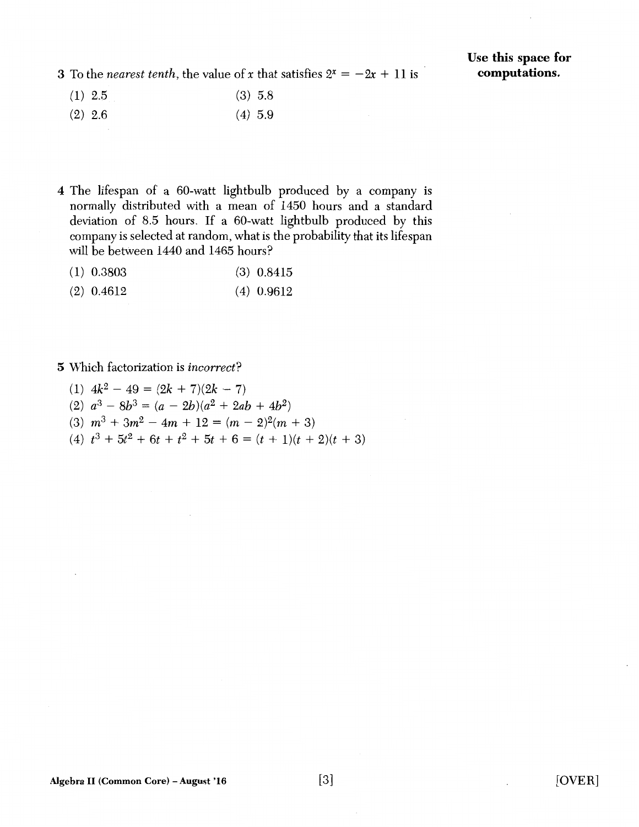3 To the *nearest tenth*, the value of *x* that satisfies  $2^x = -2x + 11$  is

- (1) 2.5 (3) 5.8
- (2) 2.6 (4) 5.9
- 4 The lifespan of a 60-watt lightbulb produced by a company is normally distributed with a mean of 1450 hours and a standard deviation of 8.5 hours. If a 60-watt lightbulb produced by this company is selected at random, what is the probability that its lifespan will be between 1440 and 1465 hours?
	- (1) 0.3803 (3) 0.8415
	- (2) 0.4612 (4) 0.9612

#### **5** Which factorization is *incorrect?*

- (1)  $4k^2 49 = (2k + 7)(2k 7)$
- (2)  $a^3 8b^3 = (a 2b)(a^2 + 2ab + 4b^2)$
- (3)  $m^3 + 3m^2 4m + 12 = (m 2)^2(m + 3)$
- $(4)$   $t^3 + 5t^2 + 6t + t^2 + 5t + 6 = (t + 1)(t + 2)(t + 3)$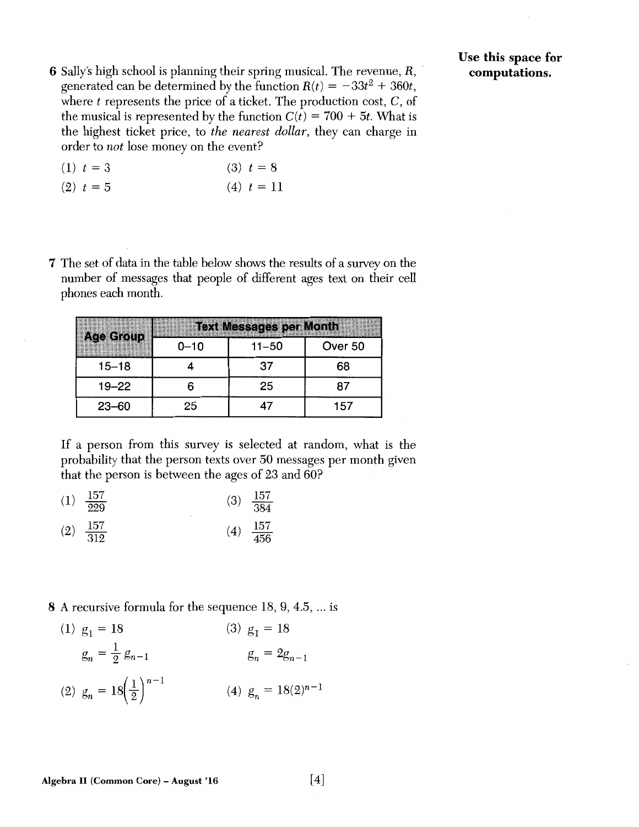6 Sally's high school is planning their spring musical. The revenue, R, · generated can be determined by the function  $R(t) = -33t^2 + 360t$ , where  $t$  represents the price of a ticket. The production cost,  $C$ , of the musical is represented by the function  $C(t) = 700 + 5t$ . What is the highest ticket price, to *the nearest dollar,* they can charge in order to *not* lose money on the event?

Use this space for computations.

| $(1)$ $t = 3$ | $(3) t = 8$    |  |
|---------------|----------------|--|
| $(2)$ $t = 5$ | $(4)$ $t = 11$ |  |

7 The set of data in the table below shows the results of a survey on the number of messages that people of different ages text on their cell phones each month.

| <b>Age Group</b>         |      | <b>Text Messages per Month</b> |         |
|--------------------------|------|--------------------------------|---------|
| ,,,,,,,,,,,,,,,,,,,,,,,, | 0-10 | $11 - 50$                      | Over 50 |
| $15 - 18$                |      | 37                             | 68      |
| $19 - 22$                |      | 25                             | 87      |
| $23 - 60$                | 25   |                                | 157     |

If a person from this survey is selected at random, what is the probability that the person texts over 50 messages per month given that the person is between the ages of 23 and 60?

- (1)  $\frac{157}{229}$  (3)  $\frac{157}{384}$
- $\frac{157}{312}$  (4)  $\frac{157}{456}$ (2)  $\frac{157}{312}$  (4)  $\frac{157}{456}$

8 A recursive formula for the sequence 18, 9, 4.5, ... is

(1)  $g_1 = 18$ (3)  $g_1 = 18$  $g_n = \frac{1}{2} g_{n-1}$  $g_n = 2g_{n-1}$ (2)  $g_n = 18 \left(\frac{1}{2}\right)^{n-1}$ (4)  $g_n = 18(2)^{n-1}$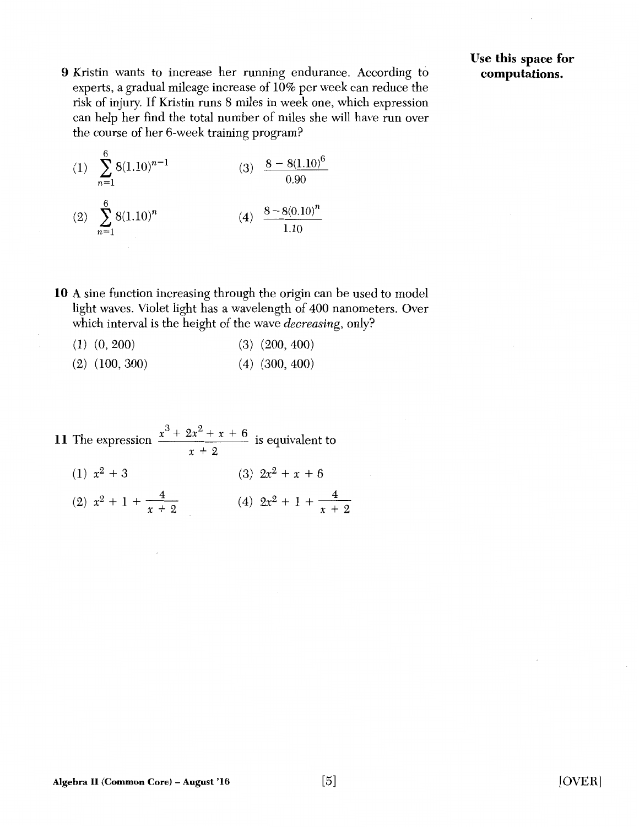- 9 Kristin wants to increase her running endurance. According to experts, a gradual mileage increase of 10% per week can reduce the risk of injury. If Kristin runs 8 miles in week one, which expression can help her find the total number of miles she will have run over the course of her 6-week training program?
	- (1)  $\sum_{n=1}^{6} 8(1.10)^{n-1}$ (1)  $\sum 8(1.10)^{n-1}$  (3)  $\frac{8-8(1.10)^6}{1}$  $n=1$  0.90 (2)  $\sum_{n=1}^{6} 8(1.10)^n$  (4)  $\frac{8-8(0.10)^n}{n}$  $n=1$  1.10
- **10** A sine function increasing through the origin can be used to model light waves. Violet light has a wavelength of 400 nanometers. Over which interval is the height of the wave *decreasing,* only?
	- (1) (0, 200) (2) (100, 300) (3) (200, 400) (4) (300, 400)
- 11 The expression  $\frac{x^3 + 2x^2 + x + 6}{x^3 + 2x^2 + x + 6}$  is equivalent to  $x + 2$  $(1)$   $x^2 + 3$ (2)  $x^2 + 1 + \frac{4}{x+2}$  <br> (4)  $2x^2 + 1 + \frac{4}{x+2}$ (3)  $2x^2 + x + 6$ *x* + 2

# Use **this** space **for computations.**

[OVER]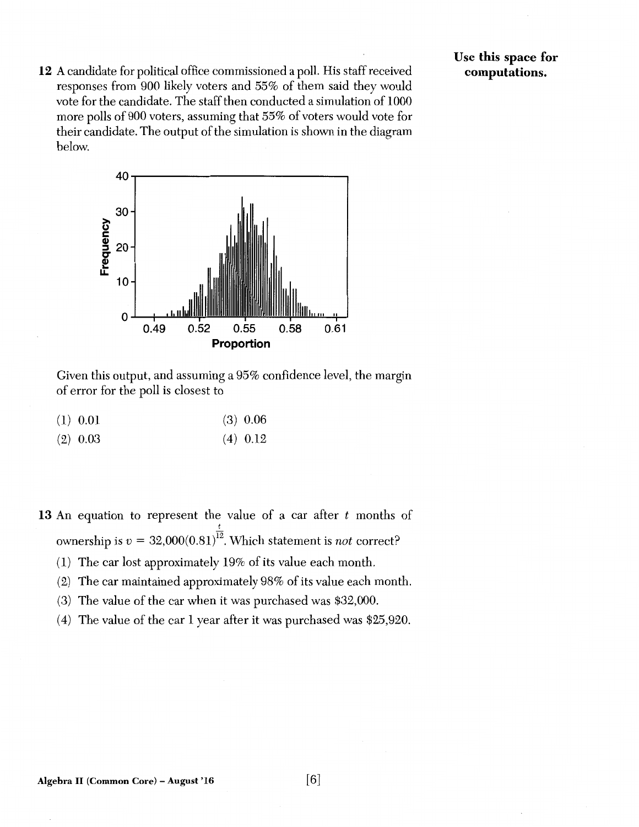12 A candidate for political office commissioned a poll. His staff received responses from 900 likely voters and 55% of them said they would vote for the candidate. The staff then conducted a simulation of 1000 more polls of 900 voters, assuming that 55% of voters would vote for their candidate. The output of the simulation is shown in the diagram below.

Use this space for computations.



Given this output, and assuming a 95% confidence level, the margin of error for the poll is closest to

| (1) 0.01 |  | $(3)$ 0.06 |
|----------|--|------------|
|----------|--|------------|

| $(2)$ 0.03 |  | $(4)$ 0.12 |
|------------|--|------------|
|------------|--|------------|

13 An equation to represent the value of a car after *t* months of *t*  ownership is  $v = 32,000(0.81)^{12}$ . Which statement is *not* correct?

- (1) The car lost approximately 19% of its value each month.
- (2) The car maintained approximately 98% of its value each month.
- (3) The value of the car when it was purchased was \$32,000.
- (4) The value of the car 1 year after it was purchased was \$25,920.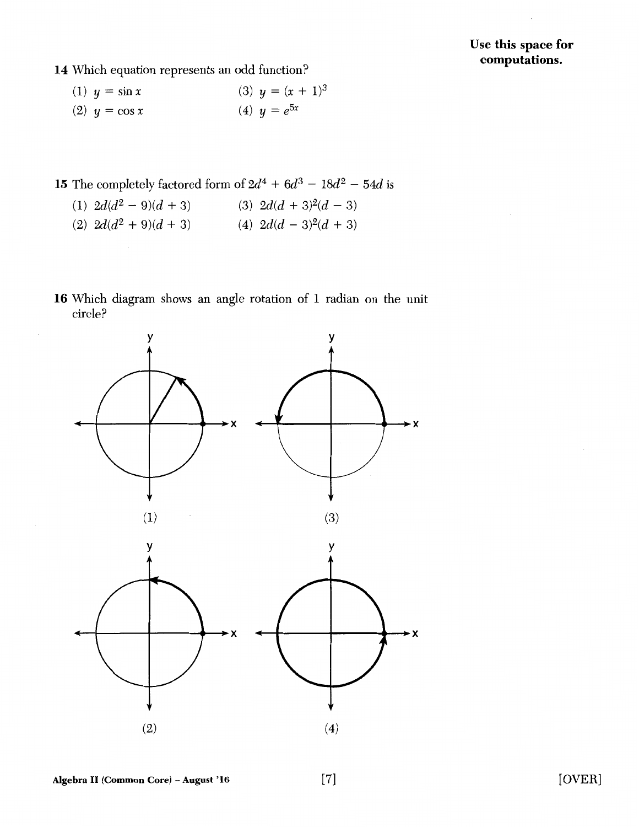# Use this space for computations.

- 14 Which equation represents an odd function?
	- (1)  $y = \sin x$  (3)  $y = (x + 1)^3$ (2)  $y = \cos x$  (4)  $y = e^{5x}$
- 15 The completely factored form of  $2d^4 + 6d^3 18d^2 54d$  is
	- (1)  $2d(d^2-9)(d+3)$  (3)  $2d(d+3)^2(d-3)$
	- (2)  $2d(d^2+9)(d+3)$  (4)  $2d(d-3)^2(d+3)$
- 16 Which diagram shows an angle rotation of 1 radian on the unit circle?

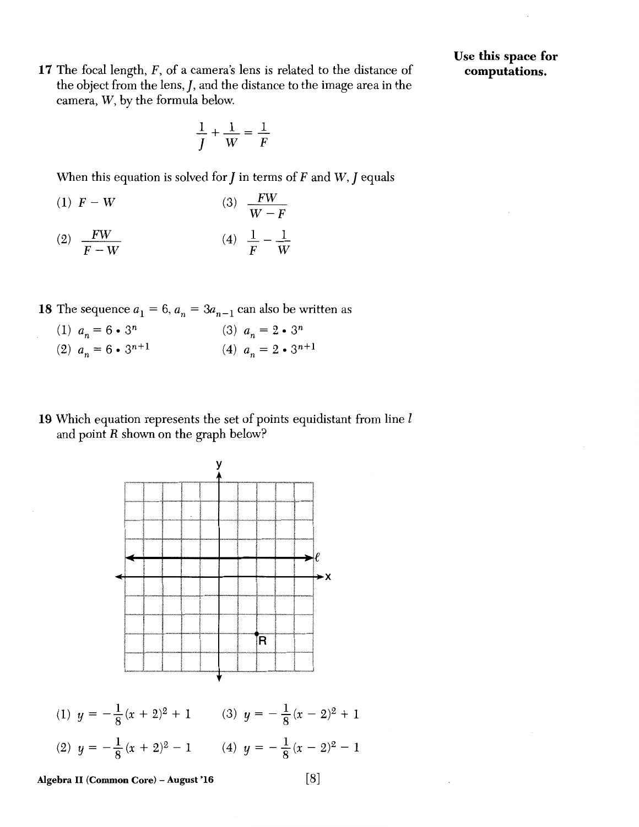17 The focal length, F, of a camera's lens is related to the distance of the object from the lens,  $J$ , and the distance to the image area in the camera, W, by the formula below.

Use this space for computations.

$$
\frac{1}{J} + \frac{1}{W} = \frac{1}{F}
$$

When this equation is solved for  $J$  in terms of  $F$  and  $W$ ,  $J$  equals

- (1)  $F W$ (3)  $\frac{FW}{}$  $\overline{W-F}$
- (2)  $\frac{FW}{m}$  $\overline{F-W}$ (4)  $\frac{1}{-}$   $\frac{1}{-}$ F W
- 18 The sequence  $a_1 = 6$ ,  $a_n = 3a_{n-1}$  can also be written as

(1) 
$$
a_n = 6 \cdot 3^n
$$
  
\n(2)  $a_n = 6 \cdot 3^{n+1}$   
\n(3)  $a_n = 2 \cdot 3^n$   
\n(4)  $a_n = 2 \cdot 3^{n+1}$ 

19 Which equation represents the set of points equidistant from line  $l$ and point  $R$  shown on the graph below?



(1)  $y = -\frac{1}{8}(x + 2)^2 + 1$  (3)  $y = -\frac{1}{8}(x - 2)^2 + 1$ (2)  $y = -\frac{1}{8}(x+2)^2 - 1$  (4)  $y = -\frac{1}{8}(x-2)^2 - 1$ 

Algebra II (Common Core) – August '16 [8]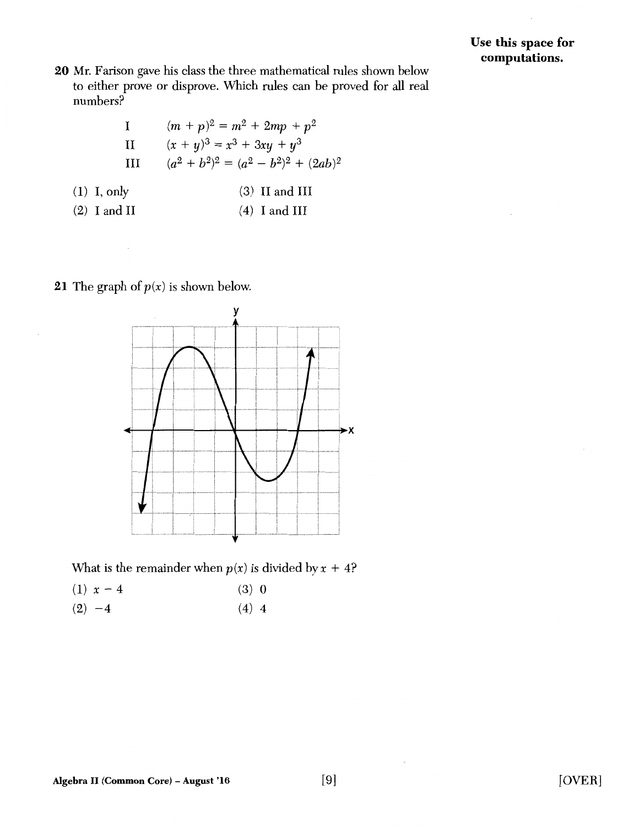20 Mr. Farison gave his class the three mathematical rules shown below to either prove or disprove. Which rules can be proved for all real numbers?

| I | $(m + p)^2 = m^2 + 2mp + p^2$                           |
|---|---------------------------------------------------------|
| П | $(x + y)^3 = x^3 + 3xy + y^3$                           |
| Ш | $(a^{2} + b^{2})^{2} = (a^{2} - b^{2})^{2} + (2ab)^{2}$ |

- (1) I, only (3) II and III
- (2) I and II (4) I and III

**21** The graph of  $p(x)$  is shown below.



What is the remainder when  $p(x)$  is divided by  $x + 4$ ?

|          | $(1) x - 4$ | (3) 0   |  |
|----------|-------------|---------|--|
| $(2) -4$ |             | $(4)$ 4 |  |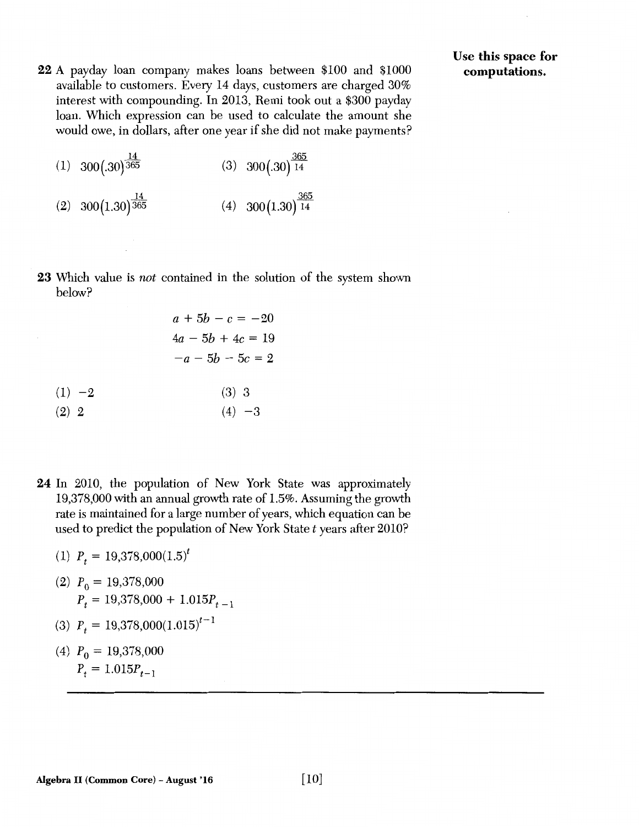22 A payday loan company makes loans between \$100 and \$1000 available to customers. Every 14 days, customers are charged 30% interest with compounding. In 2013, Remi took out a \$300 payday loan. Which expression can be used to calculate the amount she would owe, in dollars, after one year if she did not make payments?

 $\frac{14}{14}$  (c)  $\frac{365}{14}$ (1)  $300(.30)365$  (3)  $300(.30)14$ 

- $\frac{14}{14}$   $\frac{365}{14}$  $(2)$  300(1.30)<sup>365</sup> (4) 300(1.30)<sup>14</sup>
- 23 Which value is *not* contained in the solution of the system shown below?
	- $(1) -2$ (2) 2  $a + 5b - c = -20$  $4a - 5b + 4c = 19$  $-a - 5b - 5c = 2$ (3) 3  $(4) -3$
- 24 In 2010, the population of New York State was approximately 19,378,000 with an annual growth rate of 1.5%. Assuming the growth rate is maintained for a large number of years, which equation can be used to predict the population of New York State *t* years after 2010?
	- (1)  $P_t = 19,378,000(1.5)^t$
	- (2)  $P_0 = 19,378,000$  $P_t = 19,378,000 + 1.015P_{t-1}$
	- (3)  $P_t = 19,378,000(1.015)^{t-1}$
	- (4)  $P_0 = 19,378,000$  $P_t = 1.015P_{t-1}$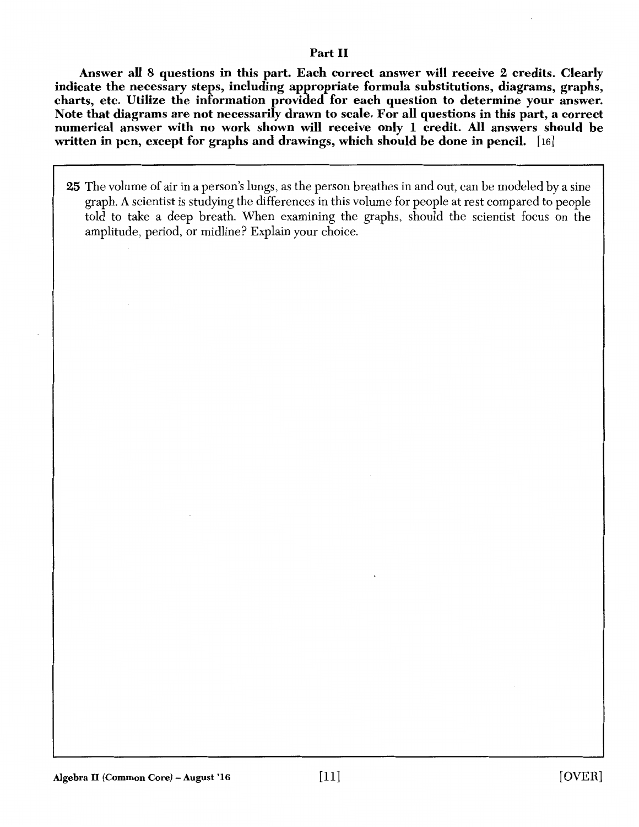## Part II

Answer all 8 questions in this part. Each correct answer will receive 2 credits. Clearly indicate the necessary steps, including appropriate formula substitutions, diagrams, graphs, charts, etc. Utilize the information provided for each question to determine your answer. Note that diagrams are not necessarily drawn to scale. For all questions in this part, a correct numerical answer with no work shown will receive only 1 credit. All answers should be written in pen, except for graphs and drawings, which should be done in pencil. [16]

25 The volume of air in a person's lungs, as the person breathes in and out, can be modeled by a sine graph. A scientist is studying the differences in this volume for people at rest compared to people told to take a deep breath. When examining the graphs, should the scientist focus on the amplitude, period, or midline? Explain your choice.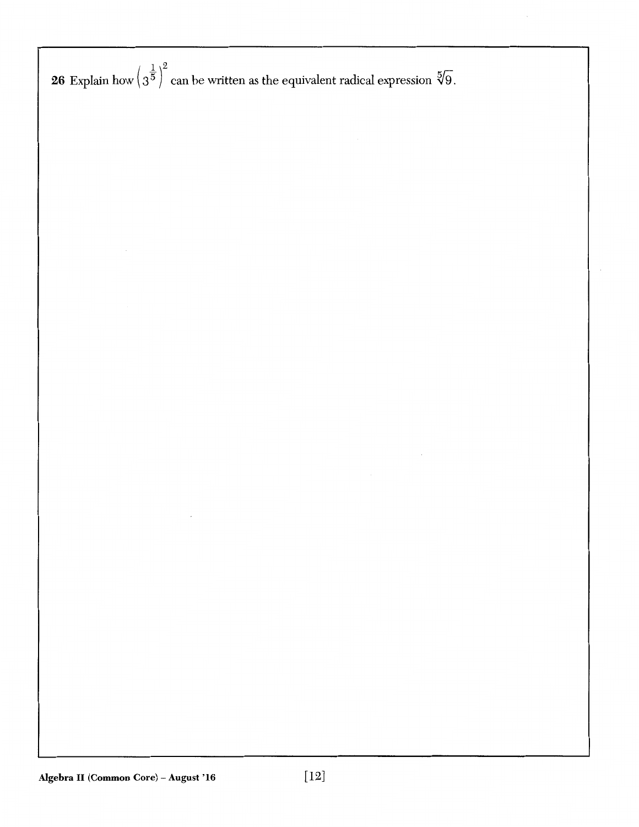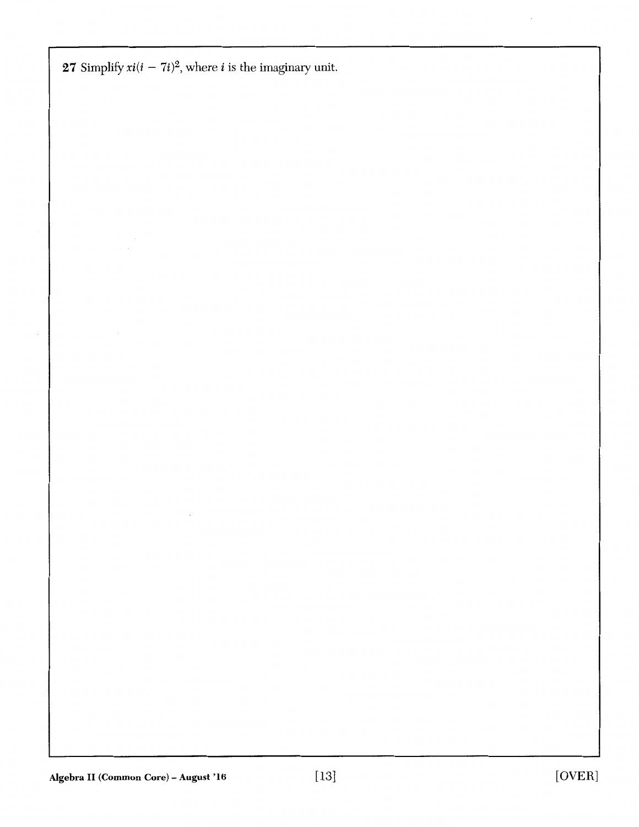**27** Simplify  $xi(i - 7i)^2$ , where *i* is the imaginary unit.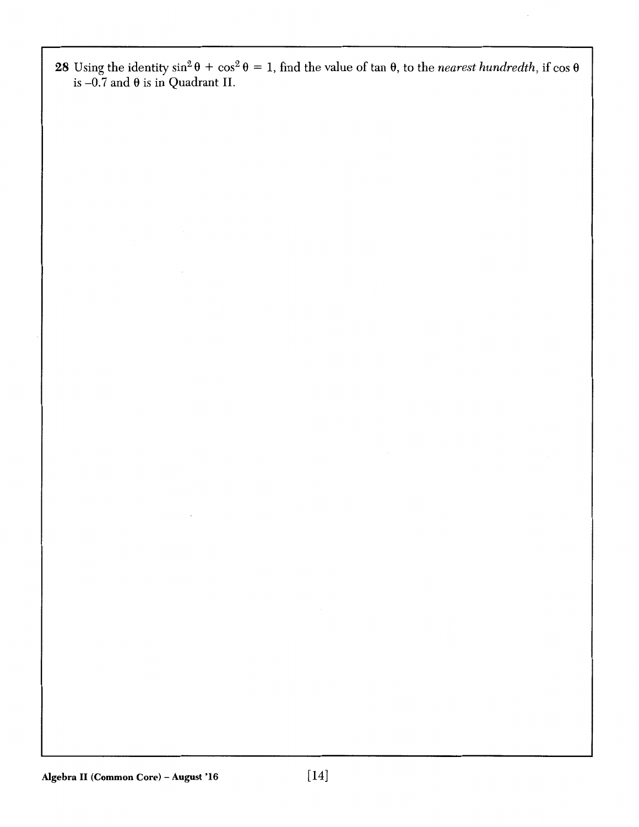28 Using the identity  $\sin^2 \theta + \cos^2 \theta = 1$ , find the value of tan  $\theta$ , to the *nearest hundredth*, if  $\cos \theta$ is –0.7 and  $\theta$  is in Quadrant II.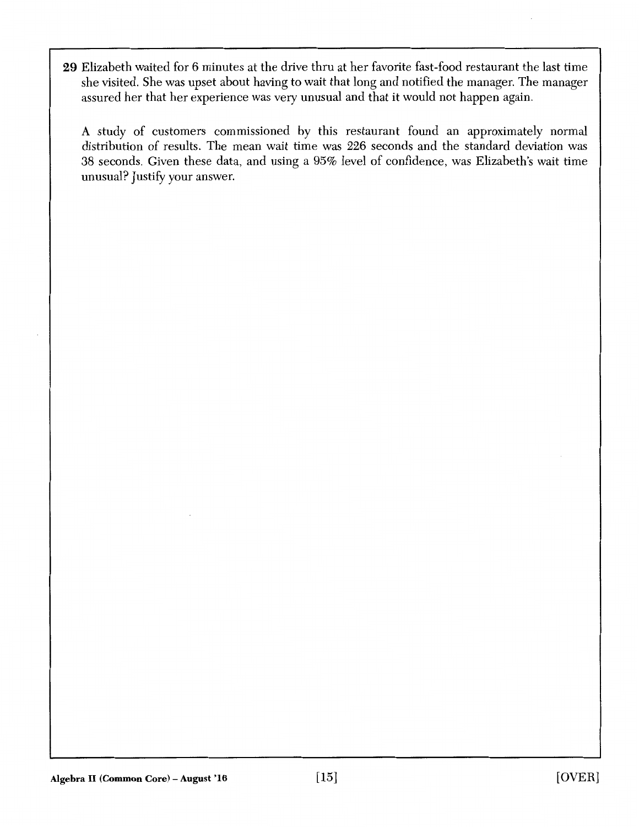29 Elizabeth waited for 6 minutes at the drive thru at her favorite fast-food restaurant the last time she visited. She was upset about having to wait that long and notified the manager. The manager assured her that her experience was very unusual and that it would not happen again.

A study of customers commissioned by this restaurant found an approximately normal distribution of results. The mean wait time was 226 seconds and the standard deviation was 38 seconds. Given these data, and using a 95% level of confidence, was Elizabeth's wait time unusual? Justify your answer.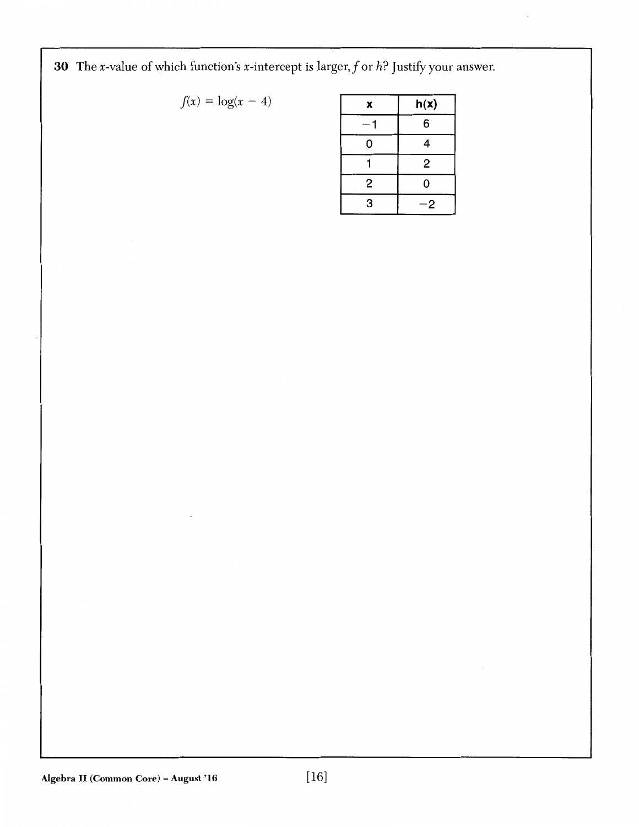30 The x-value of which function's x-intercept is larger, f or *h*? Justify your answer.

$$
f(x) = \log(x - 4)
$$

| $f(x) = \log(x - 4)$ | x | h(x) |
|----------------------|---|------|
|                      |   | 6    |
|                      |   |      |
|                      |   |      |
|                      | 2 |      |
|                      | 3 |      |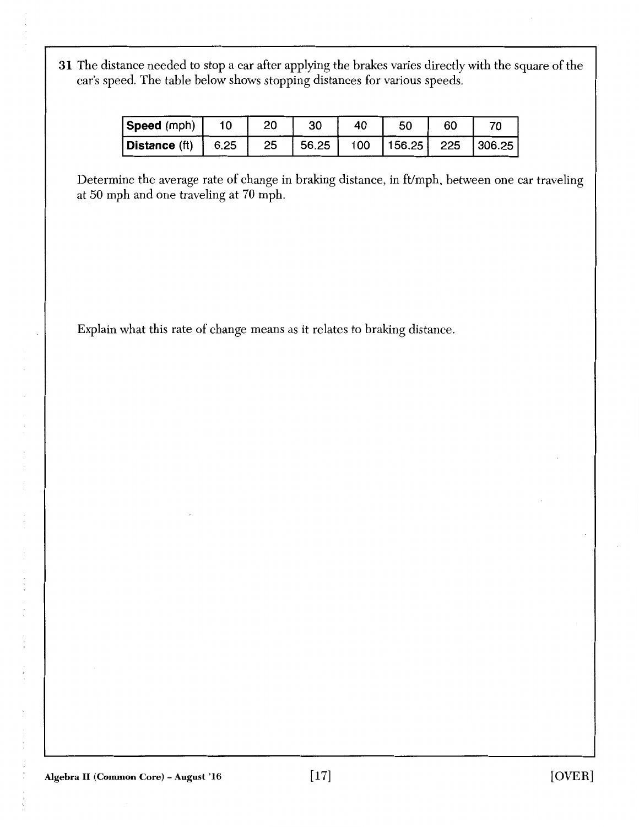31 The distance needed to stop a car after applying the brakes varies directly with the square of the car's speed. The table below shows stopping distances for various speeds.

| Speed (mph)                | 10 | 20 |        | 40  | 50 | 60 |                       |
|----------------------------|----|----|--------|-----|----|----|-----------------------|
| $ $ Distance (ft) $ $ 6.25 |    | 25 | 156.25 | 100 |    |    | 156.25   225   306.25 |

Determine the average rate of change in braking distance, in ft/mph, between one car traveling at 50 mph and one traveling at 70 mph.

Explain what this rate of change means as it relates to braking distance.

化对甲基二苯胺酸酶 人名科斯卡 人名英里

 $\begin{array}{c} \nu \\ \nu \\ \nu \\ \nu \end{array}$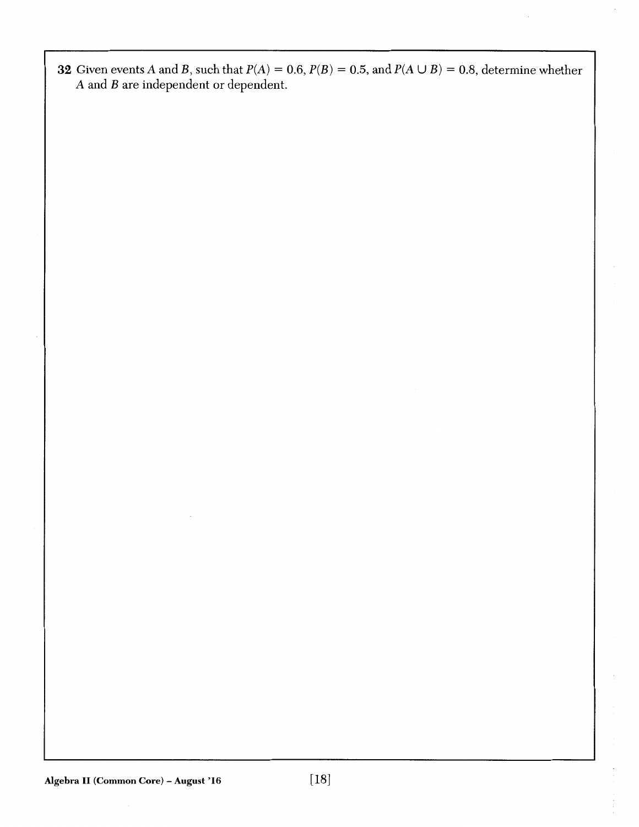**32** Given events A and B, such that  $P(A) = 0.6$ ,  $P(B) = 0.5$ , and  $P(A \cup B) = 0.8$ , determine whether A and B are independent or dependent.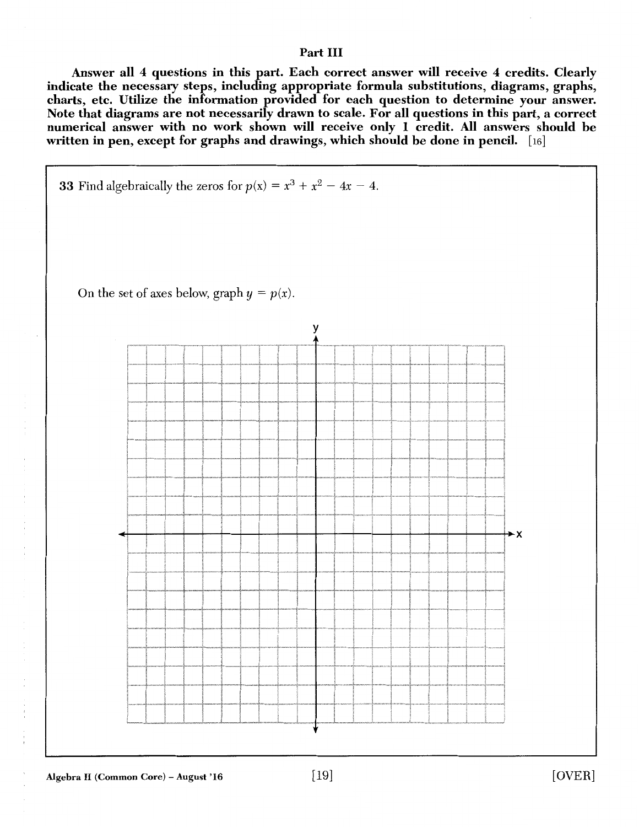# Part III

Answer all 4 questions in this part. Each correct answer will receive 4 credits. Clearly indicate the necessary steps, including appropriate formula substitutions, diagrams, graphs, charts, etc. Utilize the information provided for each question to determine your answer. Note that diagrams are not necessarily drawn to scale. For all questions in this part, a correct numerical answer with no work shown will receive only 1 credit. All answers should be written in pen, except for graphs and drawings, which should be done in pencil. [16]



 $\begin{array}{c} 1 \\ 1 \\ 2 \end{array}$ 

 $\frac{1}{2}$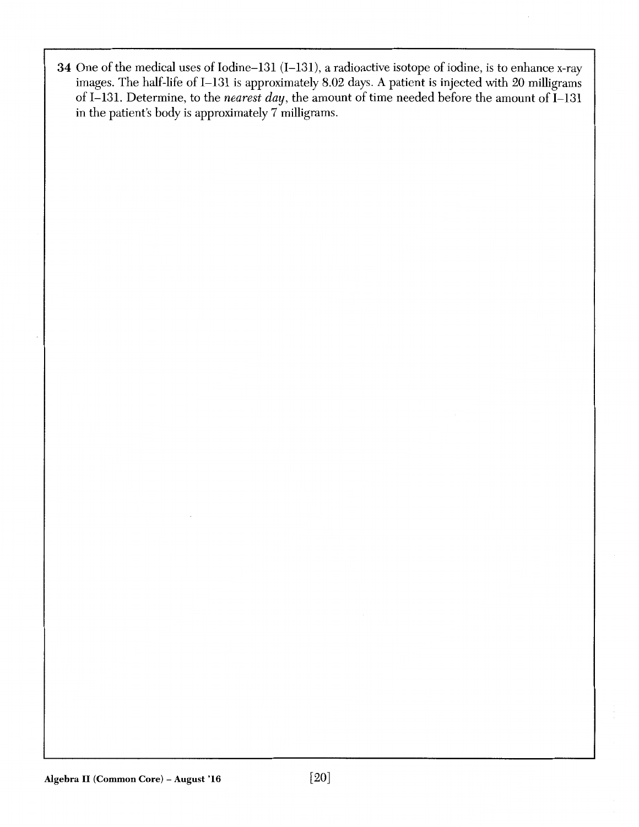34 One of the medical uses of Iodine-131 (I-131), a radioactive isotope of iodine, is to enhance x-ray images. The half-life of I-131 is approximately 8.02 days. A patient is injected with 20 milligrams of I-131. Determine, to the *nearest day*, the amount of time needed before the amount of I-131 in the patient's body is approximately 7 milligrams.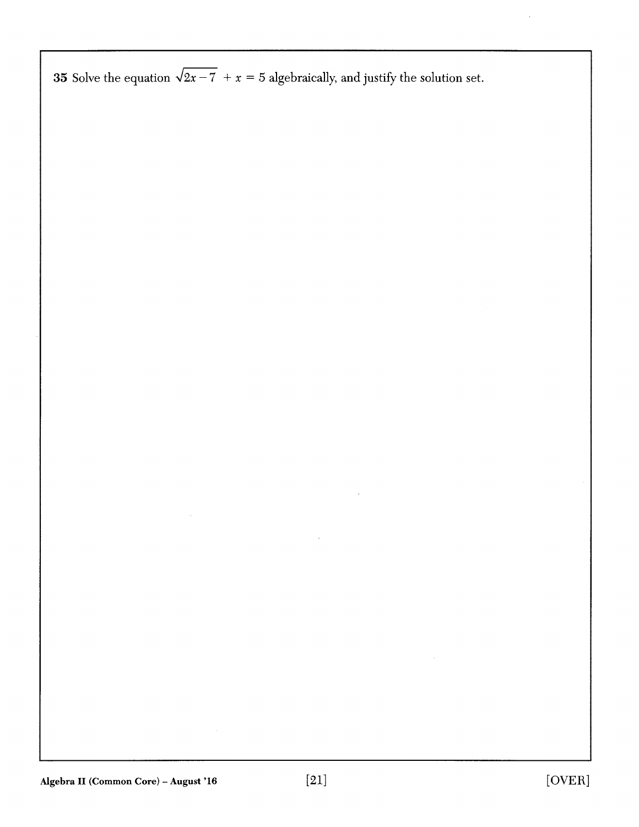**35** Solve the equation  $\sqrt{2x-7} + x = 5$  algebraically, and justify the solution set.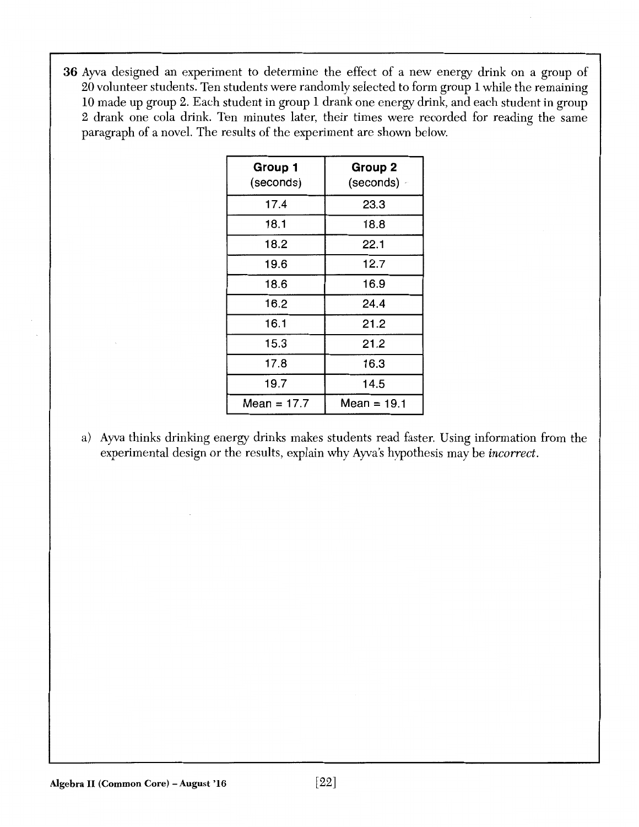36 Ayva designed an experiment to determine the effect of a new energy drink on a group of 20 volunteer students. Ten students were randomly selected to form group 1 while the remaining 10 made up group 2. Each student in group 1 drank one energy drink, and each student in group 2 drank one cola drink. Ten minutes later, their times were recorded for reading the same paragraph of a novel. The results of the experiment are shown below.

| Group 1<br>(seconds) | <b>Group 2</b><br>(seconds) - |
|----------------------|-------------------------------|
| 17.4                 | 23.3                          |
| 18.1                 | 18.8                          |
| 18.2                 | 22.1                          |
| 19.6                 | 12.7                          |
| 18.6                 | 16.9                          |
| 16.2                 | 24.4                          |
| 16.1                 | 21.2                          |
| 15.3                 | 21.2                          |
| 17.8                 | 16.3                          |
| 19.7                 | 14.5                          |
| Mean = 17.7          | Mean = 19.1                   |

a) Ayva thinks drinking energy drinks makes students read faster. Using information from the experimental design or the results, explain why Ayva's hypothesis may be *incorrect.*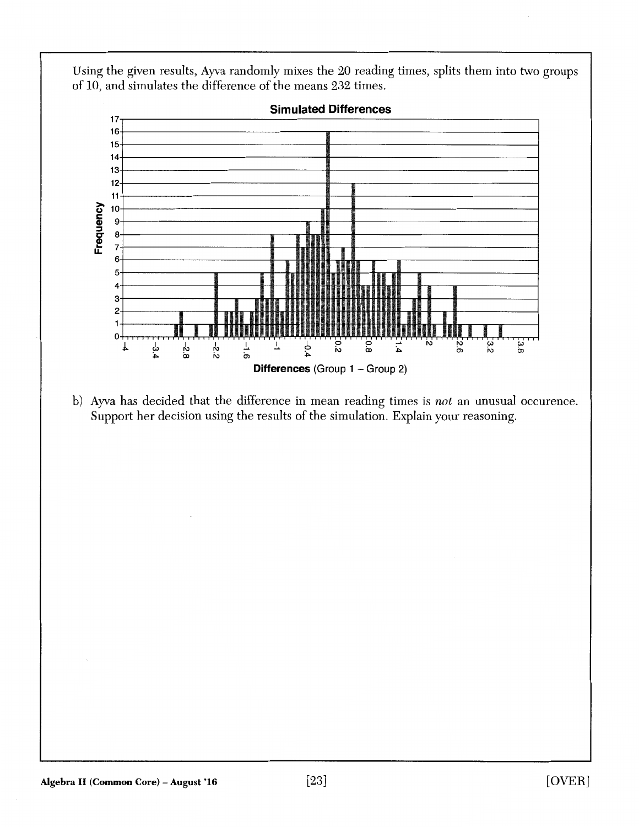Using the given results, Ayva randomly mixes the 20 reading times, splits them into two groups of 10, and simulates the difference of the means 232 times.



b) Ayva has decided that the difference in mean reading times is *not* an unusual occurence. Support her decision using the results of the simulation. Explain your reasoning.

**Simulated Differences**